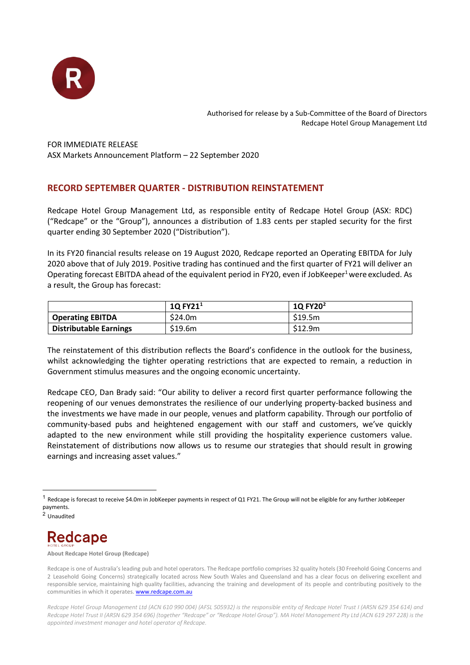

Authorised for release by a Sub-Committee of the Board of Directors Redcape Hotel Group Management Ltd

FOR IMMEDIATE RELEASE ASX Markets Announcement Platform – 22 September 2020

## **RECORD SEPTEMBER QUARTER - DISTRIBUTION REINSTATEMENT**

Redcape Hotel Group Management Ltd, as responsible entity of Redcape Hotel Group (ASX: RDC) ("Redcape" or the "Group"), announces a distribution of 1.83 cents per stapled security for the first quarter ending 30 September 2020 ("Distribution").

In its FY20 financial results release on 19 August 2020, Redcape reported an Operating EBITDA for July 2020 above that of July 2019. Positive trading has continued and the first quarter of FY21 will deliver an Operating forecast EBITDA ahead of the equivalent period in FY20, even if JobKeeper<sup>1</sup> were excluded. As a result, the Group has forecast:

|                               | $1Q$ FY2 $11$ | 1Q FY20 <sup>2</sup> |
|-------------------------------|---------------|----------------------|
| <b>Operating EBITDA</b>       | \$24.0m       | \$19.5m              |
| <b>Distributable Earnings</b> | \$19.6m       | \$12.9m              |

The reinstatement of this distribution reflects the Board's confidence in the outlook for the business, whilst acknowledging the tighter operating restrictions that are expected to remain, a reduction in Government stimulus measures and the ongoing economic uncertainty.

Redcape CEO, Dan Brady said: "Our ability to deliver a record first quarter performance following the reopening of our venues demonstrates the resilience of our underlying property-backed business and the investments we have made in our people, venues and platform capability. Through our portfolio of community-based pubs and heightened engagement with our staff and customers, we've quickly adapted to the new environment while still providing the hospitality experience customers value. Reinstatement of distributions now allows us to resume our strategies that should result in growing earnings and increasing asset values."

<span id="page-0-1"></span><sup>2</sup> Unaudited



**About Redcape Hotel Group (Redcape)**

<span id="page-0-0"></span> $1$  Redcape is forecast to receive \$4.0m in JobKeeper payments in respect of Q1 FY21. The Group will not be eligible for any further JobKeeper payments.

Redcape is one of Australia's leading pub and hotel operators. The Redcape portfolio comprises 32 quality hotels (30 Freehold Going Concerns and 2 Leasehold Going Concerns) strategically located across New South Wales and Queensland and has a clear focus on delivering excellent and responsible service, maintaining high quality facilities, advancing the training and development of its people and contributing positively to the communities in which it operates[. www.redcape.com.au](http://www.redcape.com.au/)

*Redcape Hotel Group Management Ltd (ACN 610 990 004) (AFSL 505932) is the responsible entity of Redcape Hotel Trust I (ARSN 629 354 614) and Redcape Hotel Trust II (ARSN 629 354 696) (together "Redcape" or "Redcape Hotel Group"). MA Hotel Management Pty Ltd (ACN 619 297 228) is the appointed investment manager and hotel operator of Redcape.*